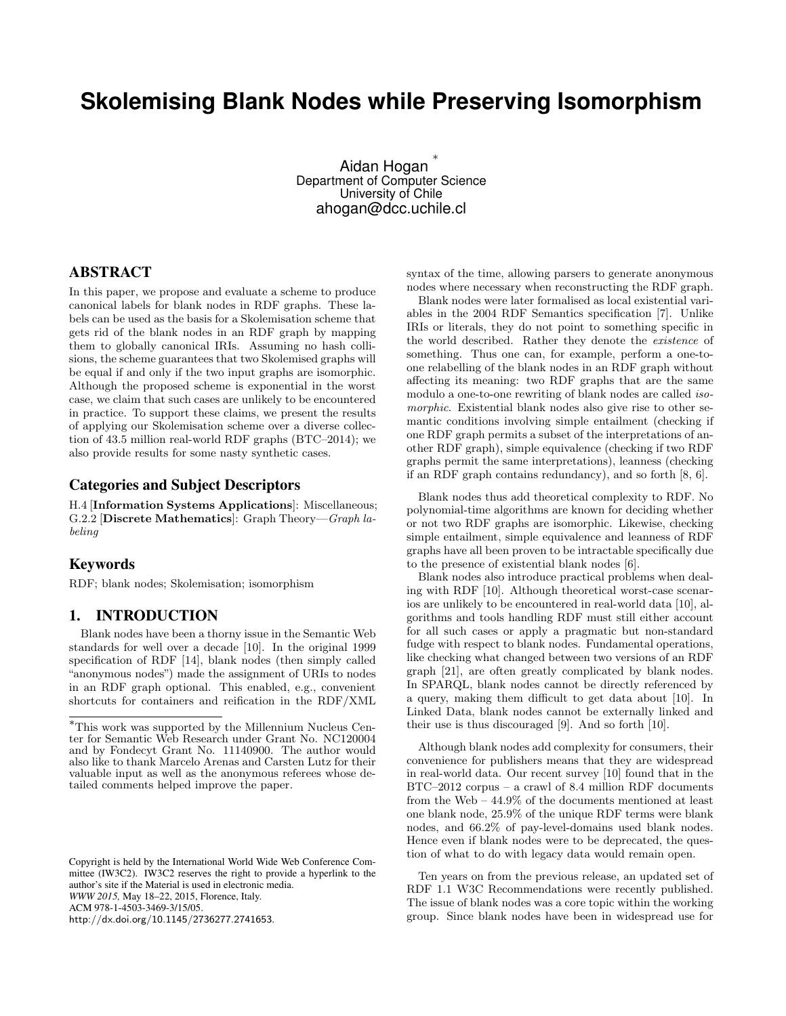# **Skolemising Blank Nodes while Preserving Isomorphism**

Aidan Hogan ∗ Department of Computer Science University of Chile ahogan@dcc.uchile.cl

## ABSTRACT

In this paper, we propose and evaluate a scheme to produce canonical labels for blank nodes in RDF graphs. These labels can be used as the basis for a Skolemisation scheme that gets rid of the blank nodes in an RDF graph by mapping them to globally canonical IRIs. Assuming no hash collisions, the scheme guarantees that two Skolemised graphs will be equal if and only if the two input graphs are isomorphic. Although the proposed scheme is exponential in the worst case, we claim that such cases are unlikely to be encountered in practice. To support these claims, we present the results of applying our Skolemisation scheme over a diverse collection of 43.5 million real-world RDF graphs (BTC–2014); we also provide results for some nasty synthetic cases.

# Categories and Subject Descriptors

H.4 [Information Systems Applications]: Miscellaneous; G.2.2 [Discrete Mathematics]: Graph Theory—Graph labeling

## Keywords

RDF; blank nodes; Skolemisation; isomorphism

## 1. INTRODUCTION

Blank nodes have been a thorny issue in the Semantic Web standards for well over a decade [\[10\]](#page-10-0). In the original 1999 specification of RDF [\[14\]](#page-10-1), blank nodes (then simply called "anonymous nodes") made the assignment of URIs to nodes in an RDF graph optional. This enabled, e.g., convenient shortcuts for containers and reification in the RDF/XML

Copyright is held by the International World Wide Web Conference Committee (IW3C2). IW3C2 reserves the right to provide a hyperlink to the author's site if the Material is used in electronic media. *WWW 2015,* May 18–22, 2015, Florence, Italy. ACM 978-1-4503-3469-3/15/05. <http://dx.doi.org/10.1145/2736277.2741653>.

syntax of the time, allowing parsers to generate anonymous nodes where necessary when reconstructing the RDF graph.

Blank nodes were later formalised as local existential variables in the 2004 RDF Semantics specification [\[7\]](#page-10-2). Unlike IRIs or literals, they do not point to something specific in the world described. Rather they denote the existence of something. Thus one can, for example, perform a one-toone relabelling of the blank nodes in an RDF graph without affecting its meaning: two RDF graphs that are the same modulo a one-to-one rewriting of blank nodes are called isomorphic. Existential blank nodes also give rise to other semantic conditions involving simple entailment (checking if one RDF graph permits a subset of the interpretations of another RDF graph), simple equivalence (checking if two RDF graphs permit the same interpretations), leanness (checking if an RDF graph contains redundancy), and so forth [\[8,](#page-10-3) [6\]](#page-10-4).

Blank nodes thus add theoretical complexity to RDF. No polynomial-time algorithms are known for deciding whether or not two RDF graphs are isomorphic. Likewise, checking simple entailment, simple equivalence and leanness of RDF graphs have all been proven to be intractable specifically due to the presence of existential blank nodes [\[6\]](#page-10-4).

Blank nodes also introduce practical problems when dealing with RDF [\[10\]](#page-10-0). Although theoretical worst-case scenarios are unlikely to be encountered in real-world data [\[10\]](#page-10-0), algorithms and tools handling RDF must still either account for all such cases or apply a pragmatic but non-standard fudge with respect to blank nodes. Fundamental operations, like checking what changed between two versions of an RDF graph [\[21\]](#page-10-5), are often greatly complicated by blank nodes. In SPARQL, blank nodes cannot be directly referenced by a query, making them difficult to get data about [\[10\]](#page-10-0). In Linked Data, blank nodes cannot be externally linked and their use is thus discouraged [\[9\]](#page-10-6). And so forth [\[10\]](#page-10-0).

Although blank nodes add complexity for consumers, their convenience for publishers means that they are widespread in real-world data. Our recent survey [\[10\]](#page-10-0) found that in the BTC–2012 corpus – a crawl of 8.4 million RDF documents from the Web – 44.9% of the documents mentioned at least one blank node, 25.9% of the unique RDF terms were blank nodes, and 66.2% of pay-level-domains used blank nodes. Hence even if blank nodes were to be deprecated, the question of what to do with legacy data would remain open.

Ten years on from the previous release, an updated set of RDF 1.1 W3C Recommendations were recently published. The issue of blank nodes was a core topic within the working group. Since blank nodes have been in widespread use for

<sup>∗</sup>This work was supported by the Millennium Nucleus Center for Semantic Web Research under Grant No. NC120004 and by Fondecyt Grant No. 11140900. The author would also like to thank Marcelo Arenas and Carsten Lutz for their valuable input as well as the anonymous referees whose detailed comments helped improve the paper.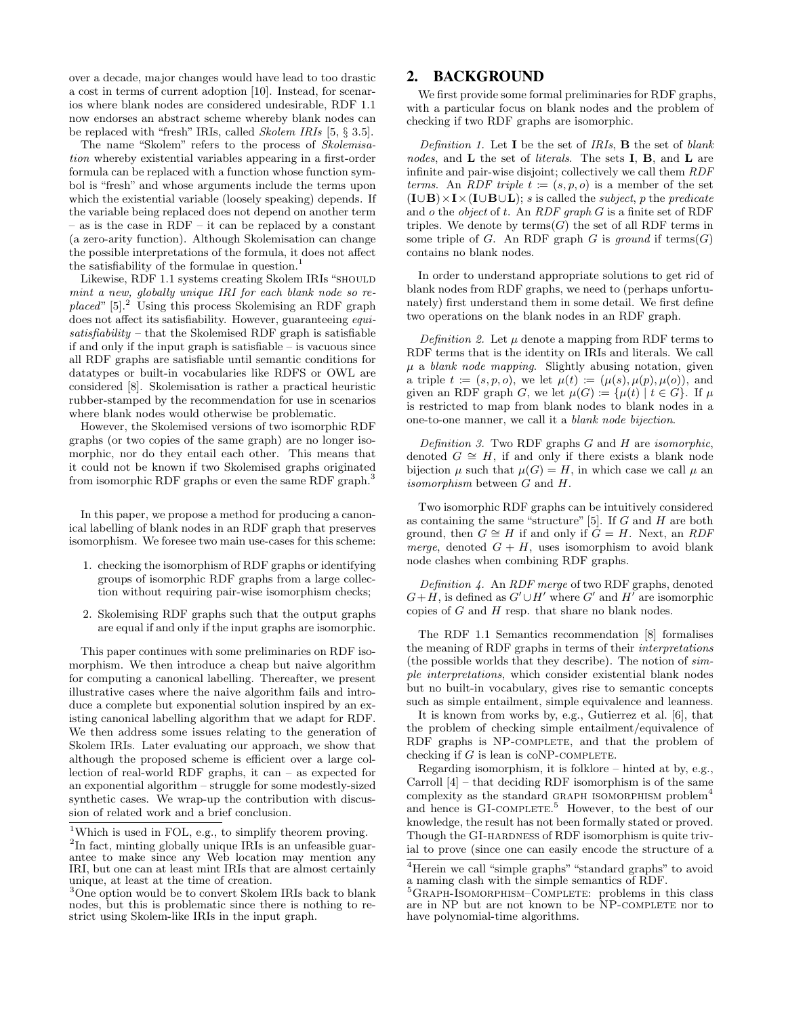over a decade, major changes would have lead to too drastic a cost in terms of current adoption [\[10\]](#page-10-0). Instead, for scenarios where blank nodes are considered undesirable, RDF 1.1 now endorses an abstract scheme whereby blank nodes can be replaced with "fresh" IRIs, called Skolem IRIs [\[5,](#page-10-7) § 3.5].

The name "Skolem" refers to the process of Skolemisation whereby existential variables appearing in a first-order formula can be replaced with a function whose function symbol is "fresh" and whose arguments include the terms upon which the existential variable (loosely speaking) depends. If the variable being replaced does not depend on another term – as is the case in RDF – it can be replaced by a constant (a zero-arity function). Although Skolemisation can change the possible interpretations of the formula, it does not affect the satisfiability of the formulae in question. $<sup>1</sup>$  $<sup>1</sup>$  $<sup>1</sup>$ </sup>

Likewise, RDF 1.1 systems creating Skolem IRIs "SHOULD mint a new, globally unique IRI for each blank node so re $placed''$  [\[5\]](#page-10-7).<sup>[2](#page-1-1)</sup> Using this process Skolemising an RDF graph does not affect its satisfiability. However, guaranteeing *equi*satisfiability – that the Skolemised RDF graph is satisfiable if and only if the input graph is satisfiable – is vacuous since all RDF graphs are satisfiable until semantic conditions for datatypes or built-in vocabularies like RDFS or OWL are considered [\[8\]](#page-10-3). Skolemisation is rather a practical heuristic rubber-stamped by the recommendation for use in scenarios where blank nodes would otherwise be problematic.

However, the Skolemised versions of two isomorphic RDF graphs (or two copies of the same graph) are no longer isomorphic, nor do they entail each other. This means that it could not be known if two Skolemised graphs originated from isomorphic RDF graphs or even the same RDF graph.<sup>[3](#page-1-2)</sup>

In this paper, we propose a method for producing a canonical labelling of blank nodes in an RDF graph that preserves isomorphism. We foresee two main use-cases for this scheme:

- 1. checking the isomorphism of RDF graphs or identifying groups of isomorphic RDF graphs from a large collection without requiring pair-wise isomorphism checks;
- 2. Skolemising RDF graphs such that the output graphs are equal if and only if the input graphs are isomorphic.

This paper continues with some preliminaries on RDF isomorphism. We then introduce a cheap but naive algorithm for computing a canonical labelling. Thereafter, we present illustrative cases where the naive algorithm fails and introduce a complete but exponential solution inspired by an existing canonical labelling algorithm that we adapt for RDF. We then address some issues relating to the generation of Skolem IRIs. Later evaluating our approach, we show that although the proposed scheme is efficient over a large collection of real-world RDF graphs, it can – as expected for an exponential algorithm – struggle for some modestly-sized synthetic cases. We wrap-up the contribution with discussion of related work and a brief conclusion.

## 2. BACKGROUND

We first provide some formal preliminaries for RDF graphs, with a particular focus on blank nodes and the problem of checking if two RDF graphs are isomorphic.

Definition 1. Let **I** be the set of *IRIs*, **B** the set of *blank* nodes, and **L** the set of *literals*. The sets **I**, **B**, and **L** are infinite and pair-wise disjoint; collectively we call them RDF terms. An RDF triple  $t := (s, p, o)$  is a member of the set  $(I \cup B) \times I \times (I \cup B \cup L)$ ; s is called the *subject*, p the predicate and o the object of t. An RDF graph  $G$  is a finite set of RDF triples. We denote by  $terms(G)$  the set of all RDF terms in some triple of G. An RDF graph G is ground if  $terms(G)$ contains no blank nodes.

In order to understand appropriate solutions to get rid of blank nodes from RDF graphs, we need to (perhaps unfortunately) first understand them in some detail. We first define two operations on the blank nodes in an RDF graph.

Definition 2. Let  $\mu$  denote a mapping from RDF terms to RDF terms that is the identity on IRIs and literals. We call  $\mu$  a *blank node mapping*. Slightly abusing notation, given a triple  $t := (s, p, o)$ , we let  $\mu(t) := (\mu(s), \mu(p), \mu(o))$ , and given an RDF graph G, we let  $\mu(G) := {\mu(t) | t \in G}$ . If  $\mu$ is restricted to map from blank nodes to blank nodes in a one-to-one manner, we call it a blank node bijection.

Definition 3. Two RDF graphs  $G$  and  $H$  are isomorphic, denoted  $G \cong H$ , if and only if there exists a blank node bijection  $\mu$  such that  $\mu(G) = H$ , in which case we call  $\mu$  an isomorphism between G and H.

Two isomorphic RDF graphs can be intuitively considered as containing the same "structure" [\[5\]](#page-10-7). If  $G$  and  $H$  are both ground, then  $G \cong H$  if and only if  $G = H$ . Next, an RDF merge, denoted  $G + H$ , uses isomorphism to avoid blank node clashes when combining RDF graphs.

Definition 4. An RDF merge of two RDF graphs, denoted  $G+H$ , is defined as  $G' \cup H'$  where  $G'$  and  $H'$  are isomorphic copies of  $G$  and  $H$  resp. that share no blank nodes.

The RDF 1.1 Semantics recommendation [\[8\]](#page-10-3) formalises the meaning of RDF graphs in terms of their interpretations (the possible worlds that they describe). The notion of simple interpretations, which consider existential blank nodes but no built-in vocabulary, gives rise to semantic concepts such as simple entailment, simple equivalence and leanness.

It is known from works by, e.g., Gutierrez et al. [\[6\]](#page-10-4), that the problem of checking simple entailment/equivalence of RDF graphs is NP-COMPLETE, and that the problem of checking if  $G$  is lean is coNP-COMPLETE.

Regarding isomorphism, it is folklore – hinted at by, e.g., Carroll  $[4]$  – that deciding RDF isomorphism is of the same complexity as the standard GRAPH ISOMORPHISM problem<sup>[4](#page-1-3)</sup> and hence is GI-COMPLETE.<sup>[5](#page-1-4)</sup> However, to the best of our knowledge, the result has not been formally stated or proved. Though the GI-HARDNESS of RDF isomorphism is quite trivial to prove (since one can easily encode the structure of a

<span id="page-1-0"></span><sup>&</sup>lt;sup>1</sup>Which is used in FOL, e.g., to simplify theorem proving.

<span id="page-1-1"></span><sup>&</sup>lt;sup>2</sup>In fact, minting globally unique IRIs is an unfeasible guarantee to make since any Web location may mention any IRI, but one can at least mint IRIs that are almost certainly unique, at least at the time of creation.

<span id="page-1-2"></span><sup>&</sup>lt;sup>3</sup>One option would be to convert Skolem IRIs back to blank nodes, but this is problematic since there is nothing to restrict using Skolem-like IRIs in the input graph.

<span id="page-1-3"></span><sup>4</sup>Herein we call "simple graphs" "standard graphs" to avoid a naming clash with the simple semantics of RDF.

<span id="page-1-4"></span><sup>5</sup>Graph-Isomorphism–Complete: problems in this class are in NP but are not known to be NP-COMPLETE nor to have polynomial-time algorithms.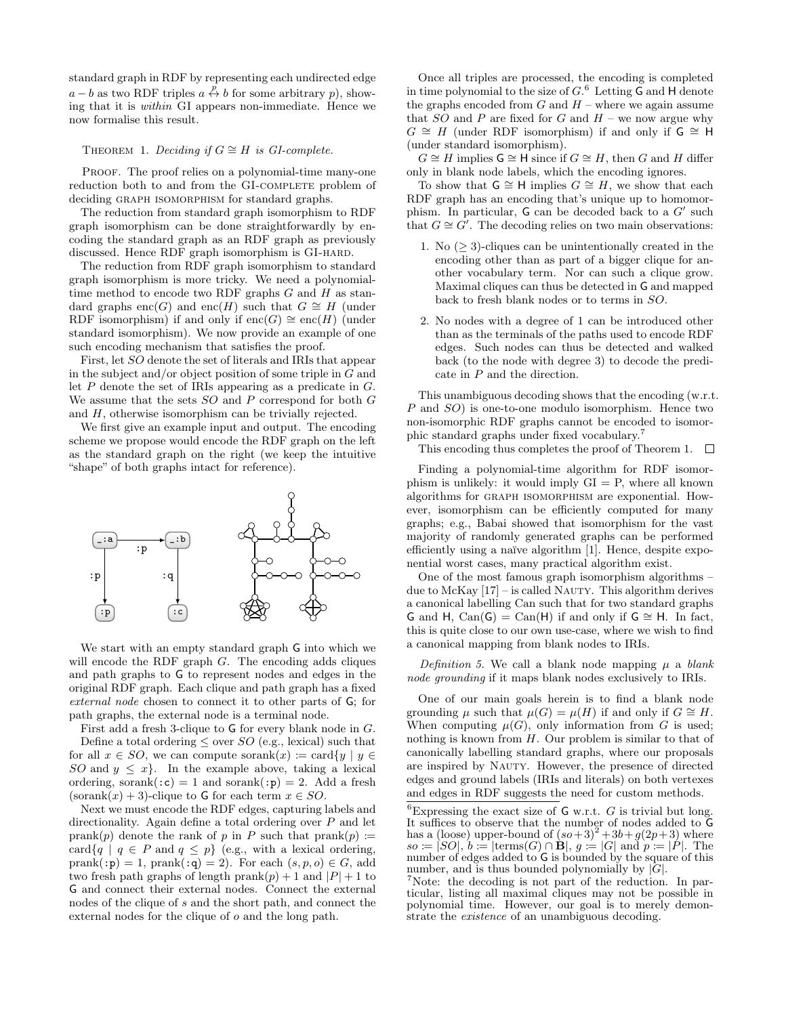standard graph in RDF by representing each undirected edge  $a - b$  as two RDF triples  $a \stackrel{p}{\leftrightarrow} b$  for some arbitrary p), showing that it is within GI appears non-immediate. Hence we now formalise this result.

## <span id="page-2-2"></span>THEOREM 1. Deciding if  $G \cong H$  is GI-complete.

PROOF. The proof relies on a polynomial-time many-one reduction both to and from the GI-COMPLETE problem of deciding GRAPH ISOMORPHISM for standard graphs.

The reduction from standard graph isomorphism to RDF graph isomorphism can be done straightforwardly by encoding the standard graph as an RDF graph as previously discussed. Hence RDF graph isomorphism is GI-hard.

The reduction from RDF graph isomorphism to standard graph isomorphism is more tricky. We need a polynomialtime method to encode two RDF graphs  $G$  and  $H$  as standard graphs enc(G) and enc(H) such that  $G \cong H$  (under RDF isomorphism) if and only if  $enc(G) \cong enc(H)$  (under standard isomorphism). We now provide an example of one such encoding mechanism that satisfies the proof.

First, let SO denote the set of literals and IRIs that appear in the subject and/or object position of some triple in G and let  $P$  denote the set of IRIs appearing as a predicate in  $G$ . We assume that the sets SO and P correspond for both G and H, otherwise isomorphism can be trivially rejected.

We first give an example input and output. The encoding scheme we propose would encode the RDF graph on the left as the standard graph on the right (we keep the intuitive "shape" of both graphs intact for reference).



We start with an empty standard graph G into which we will encode the RDF graph  $G$ . The encoding adds cliques and path graphs to G to represent nodes and edges in the original RDF graph. Each clique and path graph has a fixed external node chosen to connect it to other parts of G; for path graphs, the external node is a terminal node.

First add a fresh 3-clique to G for every blank node in G. Define a total ordering  $\leq$  over  $SO$  (e.g., lexical) such that for all  $x \in SO$ , we can compute sorank $(x) := \text{card}\{y \mid y \in$ SO and  $y \leq x$ . In the example above, taking a lexical ordering, sorank( $: c$ ) = 1 and sorank( $: p$ ) = 2. Add a fresh  $(sorank(x) + 3)$ -clique to G for each term  $x \in SO$ .

Next we must encode the RDF edges, capturing labels and directionality. Again define a total ordering over P and let prank(p) denote the rank of p in P such that prank(p)  $:=$ card $\{q \mid q \in P \text{ and } q \leq p\}$  (e.g., with a lexical ordering,  $prank(:p) = 1$ ,  $prank(:q) = 2$ ). For each  $(s, p, o) \in G$ , add two fresh path graphs of length  $prank(p) + 1$  and  $|P| + 1$  to G and connect their external nodes. Connect the external nodes of the clique of s and the short path, and connect the external nodes for the clique of o and the long path.

Once all triples are processed, the encoding is completed in time polynomial to the size of  $G<sup>6</sup>$  $G<sup>6</sup>$  $G<sup>6</sup>$  Letting G and H denote the graphs encoded from  $G$  and  $H$  – where we again assume that  $SO$  and P are fixed for G and  $H$  – we now argue why  $G \cong H$  (under RDF isomorphism) if and only if  $\mathsf{G} \cong \mathsf{H}$ (under standard isomorphism).

 $G \cong H$  implies  $\mathsf{G} \cong \mathsf{H}$  since if  $G \cong H$ , then G and H differ only in blank node labels, which the encoding ignores.

To show that  $\mathsf{G} \cong \mathsf{H}$  implies  $G \cong H$ , we show that each RDF graph has an encoding that's unique up to homomorphism. In particular,  $G$  can be decoded back to a  $G'$  such that  $G \cong \tilde{G}'$ . The decoding relies on two main observations:

- 1. No  $(≥ 3)$ -cliques can be unintentionally created in the encoding other than as part of a bigger clique for another vocabulary term. Nor can such a clique grow. Maximal cliques can thus be detected in G and mapped back to fresh blank nodes or to terms in SO.
- 2. No nodes with a degree of 1 can be introduced other than as the terminals of the paths used to encode RDF edges. Such nodes can thus be detected and walked back (to the node with degree 3) to decode the predicate in  $P$  and the direction.

This unambiguous decoding shows that the encoding (w.r.t. P and SO) is one-to-one modulo isomorphism. Hence two non-isomorphic RDF graphs cannot be encoded to isomorphic standard graphs under fixed vocabulary.[7](#page-2-1)

This encoding thus completes the proof of Theorem [1.](#page-2-2)  $\Box$ 

Finding a polynomial-time algorithm for RDF isomorphism is unlikely: it would imply  $GI = P$ , where all known algorithms for GRAPH ISOMORPHISM are exponential. However, isomorphism can be efficiently computed for many graphs; e.g., Babai showed that isomorphism for the vast majority of randomly generated graphs can be performed efficiently using a naïve algorithm [\[1\]](#page-10-9). Hence, despite exponential worst cases, many practical algorithm exist.

One of the most famous graph isomorphism algorithms – due to McKay [\[17\]](#page-10-10) – is called NAUTY. This algorithm derives a canonical labelling Can such that for two standard graphs G and H, Can(G) = Can(H) if and only if  $G \cong H$ . In fact, this is quite close to our own use-case, where we wish to find a canonical mapping from blank nodes to IRIs.

Definition 5. We call a blank node mapping  $\mu$  a blank node grounding if it maps blank nodes exclusively to IRIs.

One of our main goals herein is to find a blank node grounding  $\mu$  such that  $\mu(G) = \mu(H)$  if and only if  $G \cong H$ . When computing  $\mu(G)$ , only information from G is used; nothing is known from H. Our problem is similar to that of canonically labelling standard graphs, where our proposals are inspired by NAUTY. However, the presence of directed edges and ground labels (IRIs and literals) on both vertexes and edges in RDF suggests the need for custom methods.

<span id="page-2-0"></span> ${}^{6}$ Expressing the exact size of G w.r.t. G is trivial but long. It suffices to observe that the number of nodes added to G has a (loose) upper-bound of  $(s_0+3)^2+3b+g(2p+3)$  where  $so = [SO], b := \left[\text{terms}(G) \cap \mathbf{B}\right], g := \left|G\right| \text{ and } p := \left|P\right|.$  The number of edges added to G is bounded by the square of this number, and is thus bounded polynomially by  $|G|$ .

<span id="page-2-1"></span><sup>7</sup>Note: the decoding is not part of the reduction. In particular, listing all maximal cliques may not be possible in polynomial time. However, our goal is to merely demonstrate the existence of an unambiguous decoding.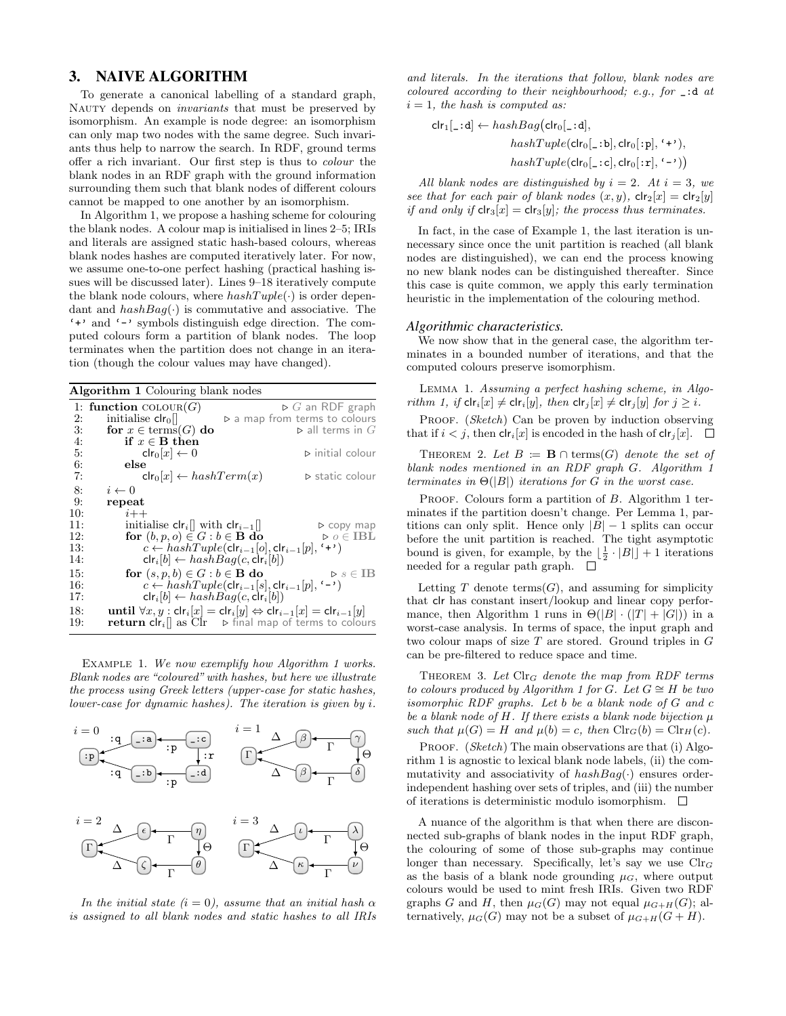## 3. NAIVE ALGORITHM

To generate a canonical labelling of a standard graph, NAUTY depends on *invariants* that must be preserved by isomorphism. An example is node degree: an isomorphism can only map two nodes with the same degree. Such invariants thus help to narrow the search. In RDF, ground terms offer a rich invariant. Our first step is thus to colour the blank nodes in an RDF graph with the ground information surrounding them such that blank nodes of different colours cannot be mapped to one another by an isomorphism.

In Algorithm [1,](#page-3-0) we propose a hashing scheme for colouring the blank nodes. A colour map is initialised in lines [2–](#page-3-0)[5;](#page-4-0) IRIs and literals are assigned static hash-based colours, whereas blank nodes hashes are computed iteratively later. For now, we assume one-to-one perfect hashing (practical hashing issues will be discussed later). Lines [9–18](#page-3-0) iteratively compute the blank node colours, where  $hashTuple(\cdot)$  is order dependant and  $hashBag(\cdot)$  is commutative and associative. The '+' and '-' symbols distinguish edge direction. The computed colours form a partition of blank nodes. The loop terminates when the partition does not change in an iteration (though the colour values may have changed).

<span id="page-3-0"></span>Algorithm 1 Colouring blank nodes

| 2:  | 1: function $\text{COLOUR}(G)$<br>initialise $\mathsf{clr}_0$ | $\triangleright$ G an RDF graph<br>$\triangleright$ a map from terms to colours                                           |
|-----|---------------------------------------------------------------|---------------------------------------------------------------------------------------------------------------------------|
| 3:  | for $x \in \text{terms}(G)$ do                                | $\triangleright$ all terms in $G$                                                                                         |
| 4:  | if $x \in B$ then                                             |                                                                                                                           |
| 5:  | $clr_0 x  \leftarrow 0$                                       | $\triangleright$ initial colour                                                                                           |
| 6:  | else                                                          |                                                                                                                           |
| 7:  | $\mathsf{clr}_0  x  \leftarrow hashTerm(x)$                   | $\triangleright$ static colour                                                                                            |
| 8:  | $i \leftarrow 0$                                              |                                                                                                                           |
| 9:  | repeat                                                        |                                                                                                                           |
| 10: | $i++$                                                         |                                                                                                                           |
| 11: | initialise $\mathsf{clr}_i  $ with $\mathsf{clr}_{i-1}  $     | $\triangleright$ copy map                                                                                                 |
| 12: | for $(b, p, o) \in G : b \in \mathbf{B}$ do                   | $\triangleright$ $o \in \text{IBL}$                                                                                       |
| 13: |                                                               | $c \leftarrow hashTuple(\text{clr}_{i-1}[o], \text{clr}_{i-1}[p], \cdots)$                                                |
| 14: | $\mathsf{clr}_i[b] \leftarrow hashBag(c, \mathsf{clr}_i[b])$  |                                                                                                                           |
| 15: | for $(s, p, b) \in G : b \in \mathbf{B}$ do                   | $\triangleright s \in \text{IB}$                                                                                          |
| 16: |                                                               | $c \leftarrow hashTuple(\text{clr}_{i-1}[s], \text{clr}_{i-1}[p], \cdot \cdot)$                                           |
| 17: | $\mathsf{clr}_i[b] \leftarrow hashBag(c, \mathsf{clr}_i[b])$  |                                                                                                                           |
| 18: |                                                               | <b>until</b> $\forall x, y : \text{clr}_i[x] = \text{clr}_i[y] \Leftrightarrow \text{clr}_{i-1}[x] = \text{clr}_{i-1}[y]$ |
| 19: |                                                               | <b>return cir</b> <sub>i</sub> as Cir $\triangleright$ final map of terms to colours                                      |

<span id="page-3-1"></span>EXAMPLE [1](#page-3-0). We now exemplify how Algorithm 1 works. Blank nodes are "coloured" with hashes, but here we illustrate the process using Greek letters (upper-case for static hashes, lower-case for dynamic hashes). The iteration is given by i.



In the initial state  $(i = 0)$ , assume that an initial hash  $\alpha$ is assigned to all blank nodes and static hashes to all IRIs

and literals. In the iterations that follow, blank nodes are coloured according to their neighbourhood; e.g., for \_:d at  $i = 1$ , the hash is computed as:

$$
\begin{aligned}\n\text{clr}_1[\_\texttt{-}:d] &\leftarrow hashBag\big(\text{clr}_0[\_\texttt{-}:d], \\
& hashTuple(\text{clr}_0[\_\texttt{-}:b], \text{clr}_0[\_\texttt{P}], \texttt{`+'}), \\
& hashTuple(\text{clr}_0[\_\texttt{-}:c], \text{clr}_0[\_\texttt{r}], \texttt{`-'})\big)\n\end{aligned}
$$

All blank nodes are distinguished by  $i = 2$ . At  $i = 3$ , we see that for each pair of blank nodes  $(x, y)$ ,  $\text{clr}_2[x] = \text{clr}_2[y]$ if and only if  $\text{clr}_3[x] = \text{clr}_3[y]$ ; the process thus terminates.

In fact, in the case of Example [1,](#page-3-1) the last iteration is unnecessary since once the unit partition is reached (all blank nodes are distinguished), we can end the process knowing no new blank nodes can be distinguished thereafter. Since this case is quite common, we apply this early termination heuristic in the implementation of the colouring method.

#### *Algorithmic characteristics.*

We now show that in the general case, the algorithm terminates in a bounded number of iterations, and that the computed colours preserve isomorphism.

<span id="page-3-2"></span>Lemma 1. Assuming a perfect hashing scheme, in Algo-rithm [1,](#page-3-0) if  $\text{clr}_i[x] \neq \text{clr}_i[y]$ , then  $\text{clr}_i[x] \neq \text{clr}_i[y]$  for  $j \geq i$ .

PROOF. (Sketch) Can be proven by induction observing that if  $i < j$ , then  $\mathsf{clr}_i[x]$  is encoded in the hash of  $\mathsf{clr}_i[x]$ .  $\Box$ 

THEOREM 2. Let  $B := \mathbf{B} \cap \text{terms}(G)$  denote the set of blank nodes mentioned in an RDF graph G. Algorithm [1](#page-3-0) terminates in  $\Theta(|B|)$  iterations for G in the worst case.

PROOF. Colours form a partition of  $B$ . Algorithm [1](#page-3-0) terminates if the partition doesn't change. Per Lemma [1,](#page-3-2) partitions can only split. Hence only  $|B| - 1$  splits can occur before the unit partition is reached. The tight asymptotic bound is given, for example, by the  $\lfloor \frac{1}{2} \cdot |B| \rfloor + 1$  iterations needed for a regular path graph.  $\square$ 

Letting T denote terms  $(G)$ , and assuming for simplicity that clr has constant insert/lookup and linear copy perfor-mance, then Algorithm [1](#page-3-0) runs in  $\Theta(|B| \cdot (|T| + |G|))$  in a worst-case analysis. In terms of space, the input graph and two colour maps of size  $T$  are stored. Ground triples in  $G$ can be pre-filtered to reduce space and time.

THEOREM 3. Let  $\text{Clr}_G$  denote the map from RDF terms to colours produced by Algorithm [1](#page-3-0) for G. Let  $G \cong H$  be two isomorphic RDF graphs. Let b be a blank node of G and c be a blank node of  $H$ . If there exists a blank node bijection  $\mu$ such that  $\mu(G) = H$  and  $\mu(b) = c$ , then  $\operatorname{Clr}_G(b) = \operatorname{Clr}_H(c)$ .

PROOF. (Sketch) The main observations are that (i) Algorithm [1](#page-3-0) is agnostic to lexical blank node labels, (ii) the commutativity and associativity of  $hashBag(\cdot)$  ensures orderindependent hashing over sets of triples, and (iii) the number of iterations is deterministic modulo isomorphism.  $\Box$ 

<span id="page-3-3"></span>A nuance of the algorithm is that when there are disconnected sub-graphs of blank nodes in the input RDF graph, the colouring of some of those sub-graphs may continue longer than necessary. Specifically, let's say we use  $\text{Clr}_G$ as the basis of a blank node grounding  $\mu$ <sub>G</sub>, where output colours would be used to mint fresh IRIs. Given two RDF graphs G and H, then  $\mu_G(G)$  may not equal  $\mu_{G+H}(G)$ ; alternatively,  $\mu_G(G)$  may not be a subset of  $\mu_{G+H}(G+H)$ .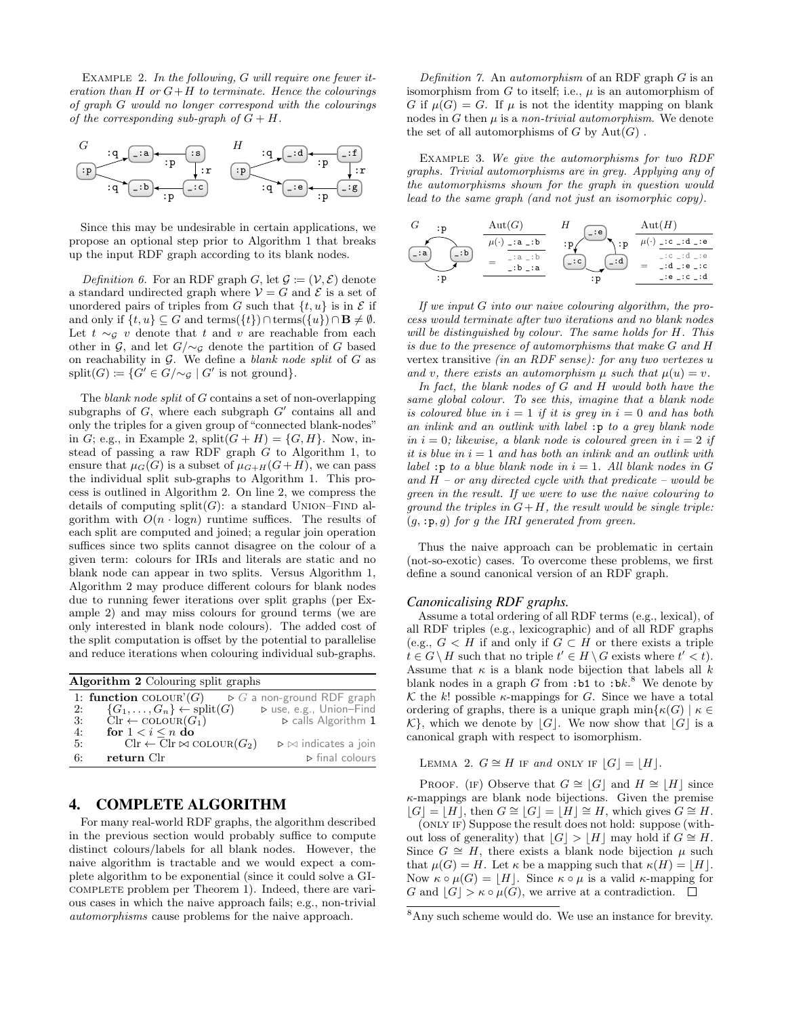EXAMPLE 2. In the following,  $G$  will require one fewer iteration than  $H$  or  $G+H$  to terminate. Hence the colourings of graph G would no longer correspond with the colourings of the corresponding sub-graph of  $G + H$ .



Since this may be undesirable in certain applications, we propose an optional step prior to Algorithm [1](#page-3-0) that breaks up the input RDF graph according to its blank nodes.

Definition 6. For an RDF graph G, let  $\mathcal{G} := (\mathcal{V}, \mathcal{E})$  denote a standard undirected graph where  $V = G$  and  $\mathcal E$  is a set of unordered pairs of triples from G such that  $\{t, u\}$  is in  $\mathcal E$  if and only if  $\{t, u\} \subseteq G$  and terms $(\{t\}) \cap \text{terms}(\{u\}) \cap \textbf{B} \neq \emptyset$ . Let  $t \sim g$  v denote that t and v are reachable from each other in G, and let  $G/\sim_{\mathcal{G}}$  denote the partition of G based on reachability in  $G$ . We define a *blank node split* of  $G$  as  $split(G) := \{G' \in G/\sim_{\mathcal{G}} | G' \text{ is not ground}\}.$ 

The blank node split of G contains a set of non-overlapping subgraphs of  $G$ , where each subgraph  $G'$  contains all and only the triples for a given group of "connected blank-nodes" in G; e.g., in Example [2,](#page-3-3)  $split(G+H) = \{G, H\}.$  Now, instead of passing a raw RDF graph G to Algorithm [1,](#page-3-0) to ensure that  $\mu_G(G)$  is a subset of  $\mu_{G+H}(G+H)$ , we can pass the individual split sub-graphs to Algorithm [1.](#page-3-0) This process is outlined in Algorithm [2.](#page-4-0) On line [2,](#page-4-0) we compress the details of computing  $split(G)$ : a standard UNION–FIND algorithm with  $O(n \cdot \log n)$  runtime suffices. The results of each split are computed and joined; a regular join operation suffices since two splits cannot disagree on the colour of a given term: colours for IRIs and literals are static and no blank node can appear in two splits. Versus Algorithm [1,](#page-3-0) Algorithm [2](#page-4-0) may produce different colours for blank nodes due to running fewer iterations over split graphs (per Example [2\)](#page-3-3) and may miss colours for ground terms (we are only interested in blank node colours). The added cost of the split computation is offset by the potential to parallelise and reduce iterations when colouring individual sub-graphs.

<span id="page-4-0"></span>

|    | Algorithm 2 Colouring split graphs                            |                                           |  |  |  |  |  |  |  |
|----|---------------------------------------------------------------|-------------------------------------------|--|--|--|--|--|--|--|
|    | 1: function COLOUR'(G)                                        | $\triangleright$ G a non-ground RDF graph |  |  |  |  |  |  |  |
| 2: | $\{G_1,\ldots,G_n\}\leftarrow \text{split}(G)$                | ⊳ use, e.g., Union-Find                   |  |  |  |  |  |  |  |
| 3: | $\text{Clr} \leftarrow \text{COLOUR}(G_1)$                    | $\triangleright$ calls Algorithm 1        |  |  |  |  |  |  |  |
| 4: | for $1 < i \leq n$ do                                         |                                           |  |  |  |  |  |  |  |
| 5: | $\text{Clr} \leftarrow \text{Clr} \bowtie \text{COLOUR}(G_2)$ | $\rhd \bowtie$ indicates a join           |  |  |  |  |  |  |  |
| 6: | return Clr                                                    | $\triangleright$ final colours            |  |  |  |  |  |  |  |

# 4. COMPLETE ALGORITHM

For many real-world RDF graphs, the algorithm described in the previous section would probably suffice to compute distinct colours/labels for all blank nodes. However, the naive algorithm is tractable and we would expect a complete algorithm to be exponential (since it could solve a GIcomplete problem per Theorem [1\)](#page-2-2). Indeed, there are various cases in which the naive approach fails; e.g., non-trivial automorphisms cause problems for the naive approach.

Definition 7. An automorphism of an RDF graph  $G$  is an isomorphism from  $G$  to itself; i.e.,  $\mu$  is an automorphism of G if  $\mu(G) = G$ . If  $\mu$  is not the identity mapping on blank nodes in  $G$  then  $\mu$  is a non-trivial automorphism. We denote the set of all automorphisms of  $G$  by  $Aut(G)$ .

Example 3. We give the automorphisms for two RDF graphs. Trivial automorphisms are in grey. Applying any of the automorphisms shown for the graph in question would lead to the same graph (and not just an isomorphic copy).



If we input G into our naive colouring algorithm, the process would terminate after two iterations and no blank nodes will be distinguished by colour. The same holds for H. This is due to the presence of automorphisms that make G and H vertex transitive (in an RDF sense): for any two vertexes u and v, there exists an automorphism  $\mu$  such that  $\mu(u) = v$ .

In fact, the blank nodes of G and H would both have the same global colour. To see this, imagine that a blank node is coloured blue in  $i = 1$  if it is grey in  $i = 0$  and has both an inlink and an outlink with label :p to a grey blank node in  $i = 0$ ; likewise, a blank node is coloured green in  $i = 2$  if it is blue in  $i = 1$  and has both an inlink and an outlink with label : p to a blue blank node in  $i = 1$ . All blank nodes in G and  $H$  – or any directed cycle with that predicate – would be green in the result. If we were to use the naive colouring to ground the triples in  $G+H$ , the result would be single triple:  $(g, \, :p, g)$  for g the IRI generated from green.

Thus the naive approach can be problematic in certain (not-so-exotic) cases. To overcome these problems, we first define a sound canonical version of an RDF graph.

#### *Canonicalising RDF graphs.*

Assume a total ordering of all RDF terms (e.g., lexical), of all RDF triples (e.g., lexicographic) and of all RDF graphs (e.g.,  $G < H$  if and only if  $G \subset H$  or there exists a triple  $t \in G \setminus H$  such that no triple  $t' \in H \setminus G$  exists where  $t' < t$ . Assume that  $\kappa$  is a blank node bijection that labels all  $k$ blank nodes in a graph  $G$  from :b1 to :bk.<sup>[8](#page-4-1)</sup> We denote by  $K$  the k! possible  $\kappa$ -mappings for G. Since we have a total ordering of graphs, there is a unique graph  $\min\{\kappa(G) \mid \kappa \in$  $\mathcal{K}$ , which we denote by  $|G|$ . We now show that  $|G|$  is a canonical graph with respect to isomorphism.

<span id="page-4-2"></span>LEMMA 2. 
$$
G \cong H
$$
 IF and ONLY IF  $[G] = [H]$ .

PROOF. (IF) Observe that  $G \cong |G|$  and  $H \cong |H|$  since  $\kappa$ -mappings are blank node bijections. Given the premise  $|G| = |H|$ , then  $G \cong |G| = |H| \cong H$ , which gives  $G \cong H$ .

(only if) Suppose the result does not hold: suppose (without loss of generality) that  $|G| > |H|$  may hold if  $G \cong H$ . Since  $G \cong H$ , there exists a blank node bijection  $\mu$  such that  $\mu(G) = H$ . Let  $\kappa$  be a mapping such that  $\kappa(H) = |H|$ . Now  $\kappa \circ \mu(G) = |H|$ . Since  $\kappa \circ \mu$  is a valid κ-mapping for G and  $|G| > \kappa \circ \mu(G)$ , we arrive at a contradiction.  $\Box$ 

<span id="page-4-1"></span><sup>8</sup>Any such scheme would do. We use an instance for brevity.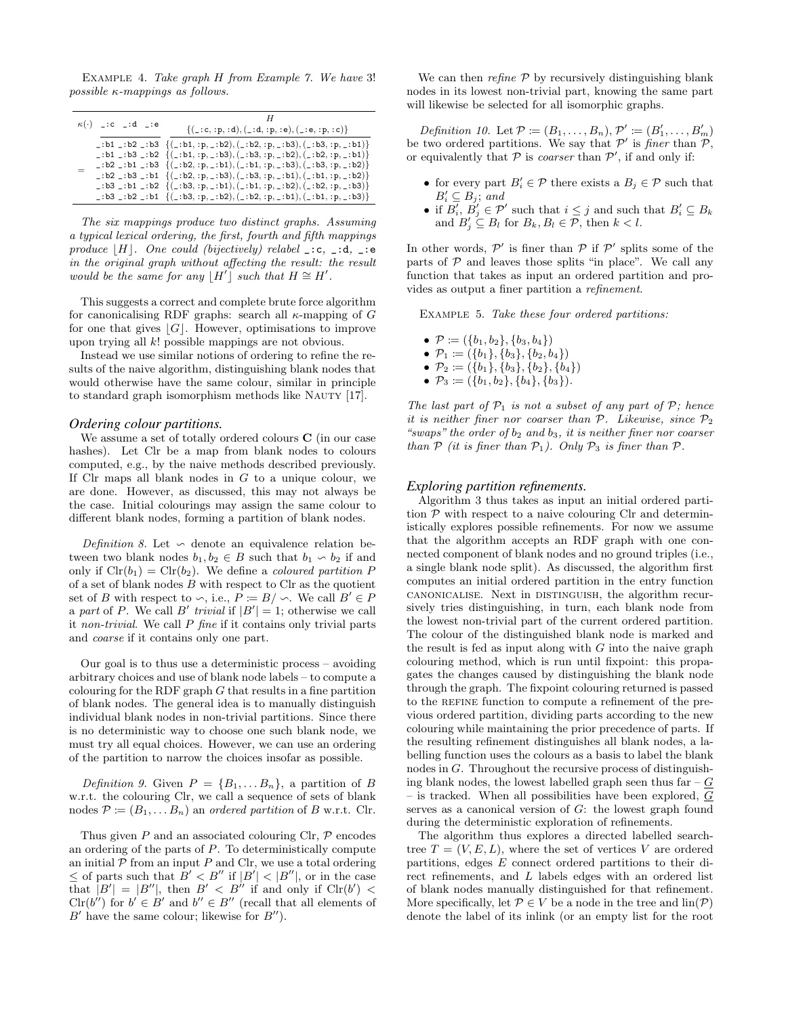EXAMPLE 4. Take graph H from Example [7.](#page-6-0) We have 3! possible κ-mappings as follows.

| $\kappa(\cdot)$ _:c _:d _:e |  |  | $\{(\_,\mathtt{c},\mathtt{:p},\mathtt{:d}),(\_,\mathtt{:d},\mathtt{:p},\mathtt{:e}),(\_,\mathtt{:e},\mathtt{:p},\mathtt{:c})\}$                                                                                                                                                                                                                                                                                                                                                                                                                                                                                                                                                                                                                                                                                                                                                                                                                                                                                                                                                                            |
|-----------------------------|--|--|------------------------------------------------------------------------------------------------------------------------------------------------------------------------------------------------------------------------------------------------------------------------------------------------------------------------------------------------------------------------------------------------------------------------------------------------------------------------------------------------------------------------------------------------------------------------------------------------------------------------------------------------------------------------------------------------------------------------------------------------------------------------------------------------------------------------------------------------------------------------------------------------------------------------------------------------------------------------------------------------------------------------------------------------------------------------------------------------------------|
|                             |  |  | _:b1 _:b2 _:b3 $\{(-:b1, :p, -:b2), (-:b2, :p, -:b3), (-:b3, :p, -:b1)\}\$<br>$\lfloor \cdot b1 \rfloor : b3 \rfloor : b2 \{ (\lfloor \cdot b1, :p, \lfloor \cdot b3 \rfloor, (\lfloor \cdot b3, :p, \lfloor \cdot b2 \rfloor, (\lfloor \cdot b2, :p, \lfloor \cdot b1 \rfloor) \}) \rfloor \}$<br>$\lfloor \cdot b2 \rfloor : b1 \rfloor : b3 \{ (\lfloor \cdot b2, :p, \lfloor \cdot b1 \rfloor, (\lfloor \cdot b1, :p, \lfloor \cdot b3 \rfloor, (\lfloor \cdot b3, :p, \lfloor \cdot b2 \rfloor) \}) \rfloor \}$<br>$\lfloor \cdot b2 \rfloor : b3 \rfloor : b1 \{ (\lfloor \cdot b2, :p,-:b3 \rfloor, (\lfloor \cdot b3, :p,-:b1 \rfloor, (\lfloor \cdot b1, :p,-:b2 \rfloor) \}$<br>$\lfloor \cdot b3 \rfloor : b1 \rfloor : b2 \{ (\lfloor \cdot b3, :p, \lfloor \cdot b1 \rfloor, (\lfloor \cdot b1, :p, \lfloor \cdot b2 \rfloor, (\lfloor \cdot b2, :p, \lfloor \cdot b3 \rfloor)) \}$<br>$\lfloor \cdot b3 \rfloor : b2 \rfloor : b1 \{ (\lfloor \cdot b3, :p, \lfloor \cdot b2 \rfloor, (\lfloor \cdot b2, :p, \lfloor \cdot b1 \rfloor, (\lfloor \cdot b1, :p, \lfloor \cdot b3 \rfloor)) \}$ |

The six mappings produce two distinct graphs. Assuming a typical lexical ordering, the first, fourth and fifth mappings produce |H|. One could (bijectively) relabel \_:c, \_:d, \_:e in the original graph without affecting the result: the result would be the same for any  $[H']$  such that  $H \cong H'$ .

This suggests a correct and complete brute force algorithm for canonicalising RDF graphs: search all  $\kappa$ -mapping of G for one that gives  $|G|$ . However, optimisations to improve upon trying all k! possible mappings are not obvious.

Instead we use similar notions of ordering to refine the results of the naive algorithm, distinguishing blank nodes that would otherwise have the same colour, similar in principle to standard graph isomorphism methods like Nauty [\[17\]](#page-10-10).

#### *Ordering colour partitions.*

We assume a set of totally ordered colours C (in our case hashes). Let Clr be a map from blank nodes to colours computed, e.g., by the naive methods described previously. If Clr maps all blank nodes in  $G$  to a unique colour, we are done. However, as discussed, this may not always be the case. Initial colourings may assign the same colour to different blank nodes, forming a partition of blank nodes.

Definition 8. Let  $\sim$  denote an equivalence relation between two blank nodes  $b_1, b_2 \in B$  such that  $b_1 \backsim b_2$  if and only if  $\text{Clr}(b_1) = \text{Clr}(b_2)$ . We define a *coloured partition* P of a set of blank nodes  $B$  with respect to Clr as the quotient set of B with respect to  $\backsim$ , i.e.,  $\hat{P} := B / \backsim$ . We call  $B' \in P$ a part of P. We call B' trivial if  $|B'| = 1$ ; otherwise we call it non-trivial. We call  $P$  fine if it contains only trivial parts and coarse if it contains only one part.

Our goal is to thus use a deterministic process – avoiding arbitrary choices and use of blank node labels – to compute a colouring for the RDF graph  $G$  that results in a fine partition of blank nodes. The general idea is to manually distinguish individual blank nodes in non-trivial partitions. Since there is no deterministic way to choose one such blank node, we must try all equal choices. However, we can use an ordering of the partition to narrow the choices insofar as possible.

Definition 9. Given  $P = \{B_1, \ldots B_n\}$ , a partition of B w.r.t. the colouring Clr, we call a sequence of sets of blank nodes  $\mathcal{P} := (B_1, \dots, B_n)$  an *ordered partition* of B w.r.t. Clr.

Thus given  $P$  and an associated colouring Clr,  $\mathcal P$  encodes an ordering of the parts of P. To deterministically compute an initial  $P$  from an input  $P$  and Clr, we use a total ordering  $\leq$  of parts such that  $B' < B''$  if  $|B'| < |B''|$ , or in the case that  $|B'| = |B''|$ , then  $B' < B''$  if and only if  $\text{Clr}(b') <$  $\text{Clr}(b'')$  for  $b' \in B'$  and  $b'' \in B''$  (recall that all elements of  $B'$  have the same colour; likewise for  $B''$ ).

We can then  $refine \, \mathcal{P}$  by recursively distinguishing blank nodes in its lowest non-trivial part, knowing the same part will likewise be selected for all isomorphic graphs.

Definition 10. Let  $\mathcal{P} := (B_1, \ldots, B_n), \mathcal{P}' := (B'_1, \ldots, B'_m)$ be two ordered partitions. We say that  $\mathcal{P}'$  is finer than  $\mathcal{P},$ or equivalently that  $P$  is *coarser* than  $P'$ , if and only if:

- for every part  $B'_i \in \mathcal{P}$  there exists a  $B_j \in \mathcal{P}$  such that  $B'_i \subseteq B_j$ ; and
- if  $B'_i$ ,  $B'_j \in \mathcal{P}'$  such that  $i \leq j$  and such that  $B'_i \subseteq B_k$ and  $B'_j \subseteq B_l$  for  $B_k, B_l \in \mathcal{P}$ , then  $k < l$ .

In other words,  $\mathcal{P}'$  is finer than  $\mathcal{P}$  if  $\mathcal{P}'$  splits some of the parts of  $P$  and leaves those splits "in place". We call any function that takes as input an ordered partition and provides as output a finer partition a refinement.

EXAMPLE 5. Take these four ordered partitions:

- $P := (\{b_1, b_2\}, \{b_3, b_4\})$
- $\mathcal{P}_1 := (\{b_1\}, \{b_3\}, \{b_2, b_4\})$
- $\mathcal{P}_2 := (\{b_1\}, \{b_3\}, \{b_2\}, \{b_4\})$
- $\mathcal{P}_3 := (\{b_1, b_2\}, \{b_4\}, \{b_3\}).$

The last part of  $\mathcal{P}_1$  is not a subset of any part of  $\mathcal{P}$ ; hence it is neither finer nor coarser than  $P$ . Likewise, since  $P_2$ "swaps" the order of  $b_2$  and  $b_3$ , it is neither finer nor coarser than  $P$  (it is finer than  $P_1$ ). Only  $P_3$  is finer than  $P$ .

#### *Exploring partition refinements.*

Algorithm [3](#page-6-1) thus takes as input an initial ordered partition  $P$  with respect to a naive colouring Clr and deterministically explores possible refinements. For now we assume that the algorithm accepts an RDF graph with one connected component of blank nodes and no ground triples (i.e., a single blank node split). As discussed, the algorithm first computes an initial ordered partition in the entry function canonicalise. Next in distinguish, the algorithm recursively tries distinguishing, in turn, each blank node from the lowest non-trivial part of the current ordered partition. The colour of the distinguished blank node is marked and the result is fed as input along with  $G$  into the naive graph colouring method, which is run until fixpoint: this propagates the changes caused by distinguishing the blank node through the graph. The fixpoint colouring returned is passed to the REFINE function to compute a refinement of the previous ordered partition, dividing parts according to the new colouring while maintaining the prior precedence of parts. If the resulting refinement distinguishes all blank nodes, a labelling function uses the colours as a basis to label the blank nodes in G. Throughout the recursive process of distinguishing blank nodes, the lowest labelled graph seen thus far  $-G$ – is tracked. When all possibilities have been explored, G serves as a canonical version of G: the lowest graph found during the deterministic exploration of refinements.

The algorithm thus explores a directed labelled searchtree  $T = (V, E, L)$ , where the set of vertices V are ordered partitions, edges E connect ordered partitions to their direct refinements, and L labels edges with an ordered list of blank nodes manually distinguished for that refinement. More specifically, let  $P \in V$  be a node in the tree and  $\text{lin}(\mathcal{P})$ denote the label of its inlink (or an empty list for the root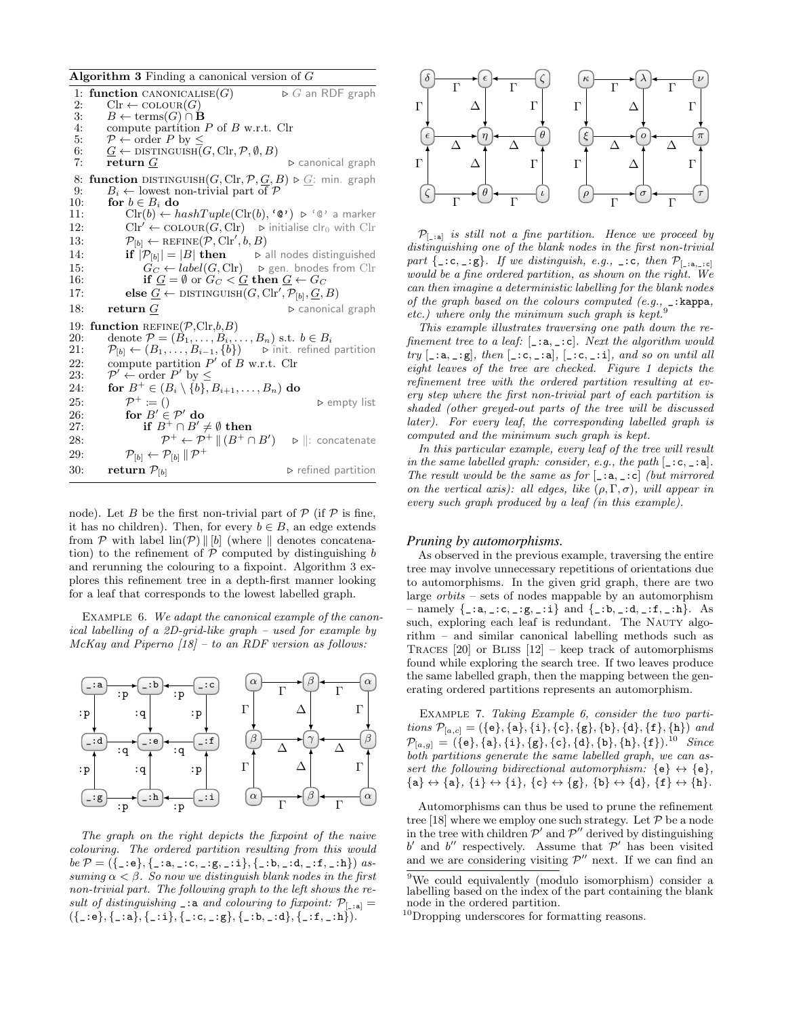<span id="page-6-1"></span>

| <b>Algorithm 3</b> Finding a canonical version of $G$ |  |  |  |  |
|-------------------------------------------------------|--|--|--|--|

| 1:  | function CANONICALISE $(G)$                                                                                              | $\triangleright$ G an RDF graph    |
|-----|--------------------------------------------------------------------------------------------------------------------------|------------------------------------|
| 2:  | $\text{Clr} \leftarrow \text{COLOUR}(G)$                                                                                 |                                    |
| 3:  | $B \leftarrow \text{terms}(G) \cap \mathbf{B}$                                                                           |                                    |
| 4:  | compute partition $P$ of $B$ w.r.t. Clr                                                                                  |                                    |
| 5:  | $P \leftarrow \text{order } P \text{ by } \leq$                                                                          |                                    |
| 6:  | $G \leftarrow$ DISTINGUISH $(G, \text{Clr}, \mathcal{P}, \emptyset, B)$                                                  |                                    |
| 7:  | return G                                                                                                                 | $\triangleright$ canonical graph   |
| 8:  | <b>function</b> DISTINGUISH $(G, \text{Clr}, \mathcal{P}, \underline{G}, B) \triangleright \underline{G}$ : min. graph   |                                    |
| 9:  | $B_i \leftarrow$ lowest non-trivial part of P                                                                            |                                    |
| 10: | for $b \in B_i$ do                                                                                                       |                                    |
| 11: | $\text{Clr}(b) \leftarrow hashTuple(\text{Clr}(b), \text{`@'}) \supset \text{`@'}$ a marker                              |                                    |
| 12: | $\text{Clr}' \leftarrow \text{COLOUR}(G, \text{Clr}) \quad \triangleright$ initialise clr <sub>0</sub> with $\text{Clr}$ |                                    |
| 13: | $\mathcal{P}_{[b]} \leftarrow \text{REFINE}(\mathcal{P}, \text{Clr}', b, B)$                                             |                                    |
| 14: | if $ \mathcal{P}_{[b]}  =  B $ then $\triangleright$ all nodes distinguished                                             |                                    |
| 15: | $G_C \leftarrow label(G, \text{Clr})$ $\triangleright$ gen. bnodes from Clr                                              |                                    |
| 16: | if $\underline{G} = \emptyset$ or $G_C < \underline{G}$ then $\underline{G} \leftarrow G_C$                              |                                    |
| 17: | else $\underline{G} \leftarrow \text{DISTINGUISH}(G, \text{Clr}', \mathcal{P}_{[b]}, \underline{G}, B)$                  |                                    |
| 18: | $_{\rm \bf return}$ $G$                                                                                                  | $\triangleright$ canonical graph   |
| 19: | function REFINE $(\mathcal{P}, \text{Clr}, b, B)$                                                                        |                                    |
| 20: | denote $\mathcal{P} = (B_1, \ldots, B_i, \ldots, B_n)$ s.t. $b \in B_i$                                                  |                                    |
| 21: | $\mathcal{P}_{[b]} \leftarrow (B_1, \ldots, B_{i-1}, \{b\}) \quad \Rightarrow$ init. refined partition                   |                                    |
| 22: | compute partition $P'$ of B w.r.t. Clr                                                                                   |                                    |
| 23: | $\mathcal{P}' \leftarrow \text{order } P'$ by $\leq$                                                                     |                                    |
| 24: | for $B^+ \in (B_i \setminus \{b\}, B_{i+1}, \ldots, B_n)$ do                                                             |                                    |
| 25: | $\mathcal{P}^+ := ()$                                                                                                    | $\triangleright$ empty list        |
| 26: | for $B' \in \mathcal{P}'$ do                                                                                             |                                    |
| 27: | if $B^+\cap B'\neq\emptyset$ then                                                                                        |                                    |
| 28: | $\mathcal{P}^+ \leftarrow \mathcal{P}^+ \parallel (B^+ \cap B') \quad \Rightarrow \parallel:$ concatenate                |                                    |
| 29: | $\mathcal{P}_{[b]} \leftarrow \mathcal{P}_{[b]}\,\ \,\mathcal{P}^+\,$                                                    |                                    |
| 30: | return $\mathcal{P}_{[b]}$                                                                                               | $\triangleright$ refined partition |

node). Let B be the first non-trivial part of  $P$  (if  $P$  is fine, it has no children). Then, for every  $b \in B$ , an edge extends from  $P$  with label  $\text{lin}(P) \parallel [b]$  (where  $\parallel$  denotes concatenation) to the refinement of  $\mathcal P$  computed by distinguishing b and rerunning the colouring to a fixpoint. Algorithm [3](#page-6-1) explores this refinement tree in a depth-first manner looking for a leaf that corresponds to the lowest labelled graph.

<span id="page-6-3"></span>EXAMPLE 6. We adapt the canonical example of the canonical labelling of a 2D-grid-like graph – used for example by  $McKay$  and Piperno  $[18]$  – to an RDF version as follows:



The graph on the right depicts the fixpoint of the naive colouring. The ordered partition resulting from this would be  $\mathcal{P} = (\{\_\texttt{:=} \}, \{\_\texttt{:=} a, \_\texttt{:=} c, \_\texttt{:=} g, \_\texttt{:=} i\}, \{\_\texttt{:=} b, \_\texttt{:=} d, \_\texttt{:=} f, \_\texttt{:=} h\})$  assuming  $\alpha < \beta$ . So now we distinguish blank nodes in the first non-trivial part. The following graph to the left shows the result of distinguishing  $\Box$ : a and colouring to fixpoint:  $\mathcal{P}_{[\Box : a]} =$  $({\{\_:e\}, {\{\_:a\}, \{\_:i\}, \{\_:c,\_:g\}, \{\_:b,\_:d\}, \{\_:f,\_:h\})}.$ 



 $P_{\text{[-:a]}}$  is still not a fine partition. Hence we proceed by distinguishing one of the blank nodes in the first non-trivial part  $\{ \_,c, \_,g\}$ . If we distinguish, e.g.,  $\_,c$ , then  $\mathcal{P}_{[} \_, \_, c]}$ would be a fine ordered partition, as shown on the right. We can then imagine a deterministic labelling for the blank nodes of the graph based on the colours computed  $(e.g., \_\cdot: \texttt{kappa})$ etc.) where only the minimum such graph is kept.<sup>[9](#page-6-2)</sup>

This example illustrates traversing one path down the refinement tree to a leaf:  $[\,\underline{\ }:\mathsf{a},\,\underline{\ }:\mathsf{c}]$ . Next the algorithm would try  $[-:a,-:g],$  then  $[-:c,-:a], [-:c,-:i],$  and so on until all eight leaves of the tree are checked. Figure [1](#page-7-0) depicts the refinement tree with the ordered partition resulting at every step where the first non-trivial part of each partition is shaded (other greyed-out parts of the tree will be discussed later). For every leaf, the corresponding labelled graph is computed and the minimum such graph is kept.

In this particular example, every leaf of the tree will result in the same labelled graph: consider, e.g., the path  $[\,\underline{\ }:\mathsf{c},\,\underline{\ }:\mathsf{a}].$ The result would be the same as for  $[-:a,-:c]$  (but mirrored on the vertical axis): all edges, like  $(\rho, \Gamma, \sigma)$ , will appear in every such graph produced by a leaf (in this example).

## *Pruning by automorphisms.*

As observed in the previous example, traversing the entire tree may involve unnecessary repetitions of orientations due to automorphisms. In the given grid graph, there are two large orbits – sets of nodes mappable by an automorphism - namely  $\{-a, -:c, -:g, -:i\}$  and  $\{-:b, -:d, -:f, -:h\}$ . As such, exploring each leaf is redundant. The NAUTY algorithm – and similar canonical labelling methods such as TRACES  $[20]$  or BLISS  $[12]$  – keep track of automorphisms found while exploring the search tree. If two leaves produce the same labelled graph, then the mapping between the generating ordered partitions represents an automorphism.

<span id="page-6-0"></span>Example 7. Taking Example [6,](#page-6-3) consider the two partitions  $\mathcal{P}_{[a,c]} = (\{e\}, \{a\}, \{i\}, \{c\}, \{g\}, \{b\}, \{d\}, \{f\}, \{h\})$  and  $\mathcal{P}_{[a,g]} = (\{\mathtt{e}\},\{\mathtt{a}\},\{\mathtt{i}\},\{\mathtt{g}\},\{\mathtt{c}\},\{\mathtt{d}\},\{\mathtt{b}\},\{\mathtt{h}\},\{\mathtt{f}\})$ .<sup>[10](#page-6-4)</sup> Since both partitions generate the same labelled graph, we can assert the following bidirectional automorphism:  $\{e\} \leftrightarrow \{e\},\$  ${a} \leftrightarrow {a}, {i} \leftrightarrow {i}, {c} \leftrightarrow {g}, {b} \leftrightarrow {d}, {f} \leftrightarrow {h}.$ 

Automorphisms can thus be used to prune the refinement tree [\[18\]](#page-10-11) where we employ one such strategy. Let  $P$  be a node in the tree with children  $\mathcal{P}'$  and  $\mathcal{P}''$  derived by distinguishing  $b'$  and  $b''$  respectively. Assume that  $\mathcal{P}'$  has been visited and we are considering visiting  $\mathcal{P}''$  next. If we can find an

<span id="page-6-2"></span><sup>9</sup>We could equivalently (modulo isomorphism) consider a labelling based on the index of the part containing the blank node in the ordered partition.

<span id="page-6-4"></span><sup>10</sup>Dropping underscores for formatting reasons.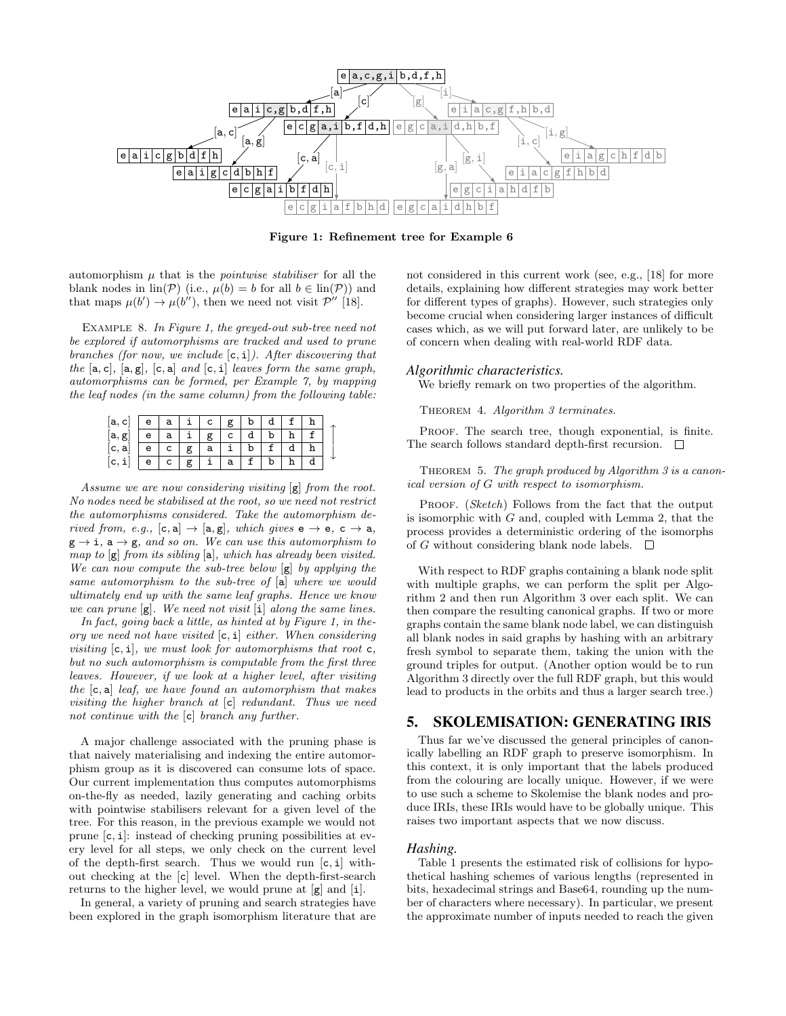

<span id="page-7-0"></span>Figure 1: Refinement tree for Example [6](#page-6-3)

automorphism  $\mu$  that is the *pointwise stabiliser* for all the blank nodes in  $\text{lin}(\mathcal{P})$  (i.e.,  $\mu(b) = b$  for all  $b \in \text{lin}(\mathcal{P})$ ) and that maps  $\mu(b') \to \mu(b'')$ , then we need not visit  $\mathcal{P}''$  [\[18\]](#page-10-11).

EXAMPLE 8. In Figure [1,](#page-7-0) the greyed-out sub-tree need not be explored if automorphisms are tracked and used to prune branches (for now, we include  $[c, i]$ ). After discovering that the  $[a, c]$ ,  $[a, g]$ ,  $[c, a]$  and  $[c, i]$  leaves form the same graph, automorphisms can be formed, per Example [7,](#page-6-0) by mapping the leaf nodes (in the same column) from the following table:

| a,<br>c l                 |   | а |  |   |  |   |  |
|---------------------------|---|---|--|---|--|---|--|
| $[\texttt{a},\texttt{g}]$ | e | а |  |   |  |   |  |
| $[\mathsf{c},\mathsf{a}]$ |   |   |  |   |  |   |  |
|                           | e |   |  | а |  | n |  |

Assume we are now considering visiting  $[g]$  from the root. No nodes need be stabilised at the root, so we need not restrict the automorphisms considered. Take the automorphism derived from, e.g.,  $[c, a] \rightarrow [a, g]$ , which gives  $e \rightarrow e$ ,  $c \rightarrow a$ ,  $g \rightarrow i$ ,  $a \rightarrow g$ , and so on. We can use this automorphism to map to [g] from its sibling [a], which has already been visited. We can now compute the sub-tree below  $[g]$  by applying the same automorphism to the sub-tree of [a] where we would ultimately end up with the same leaf graphs. Hence we know we can prune  $[g]$ . We need not visit  $[i]$  along the same lines.

In fact, going back a little, as hinted at by Figure [1,](#page-7-0) in theory we need not have visited  $[c, i]$  either. When considering visiting  $[c, i]$ , we must look for automorphisms that root  $c$ , but no such automorphism is computable from the first three leaves. However, if we look at a higher level, after visiting the  $[c, a]$  leaf, we have found an automorphism that makes visiting the higher branch at [c] redundant. Thus we need not continue with the [c] branch any further.

A major challenge associated with the pruning phase is that naively materialising and indexing the entire automorphism group as it is discovered can consume lots of space. Our current implementation thus computes automorphisms on-the-fly as needed, lazily generating and caching orbits with pointwise stabilisers relevant for a given level of the tree. For this reason, in the previous example we would not prune [c, i]: instead of checking pruning possibilities at every level for all steps, we only check on the current level of the depth-first search. Thus we would run  $[c, i]$  without checking at the [c] level. When the depth-first-search returns to the higher level, we would prune at [g] and [i].

In general, a variety of pruning and search strategies have been explored in the graph isomorphism literature that are not considered in this current work (see, e.g., [\[18\]](#page-10-11) for more details, explaining how different strategies may work better for different types of graphs). However, such strategies only become crucial when considering larger instances of difficult cases which, as we will put forward later, are unlikely to be of concern when dealing with real-world RDF data.

#### *Algorithmic characteristics.*

We briefly remark on two properties of the algorithm.

THEOREM 4. Algorithm [3](#page-6-1) terminates.

PROOF. The search tree, though exponential, is finite. The search follows standard depth-first recursion.  $\quad \Box$ 

THEOREM 5. The graph produced by Algorithm  $\beta$  is a canonical version of G with respect to isomorphism.

PROOF. (Sketch) Follows from the fact that the output is isomorphic with  $G$  and, coupled with Lemma [2,](#page-4-2) that the process provides a deterministic ordering of the isomorphs of G without considering blank node labels.  $\square$ 

With respect to RDF graphs containing a blank node split with multiple graphs, we can perform the split per Algorithm [2](#page-4-0) and then run Algorithm [3](#page-6-1) over each split. We can then compare the resulting canonical graphs. If two or more graphs contain the same blank node label, we can distinguish all blank nodes in said graphs by hashing with an arbitrary fresh symbol to separate them, taking the union with the ground triples for output. (Another option would be to run Algorithm [3](#page-6-1) directly over the full RDF graph, but this would lead to products in the orbits and thus a larger search tree.)

## 5. SKOLEMISATION: GENERATING IRIS

Thus far we've discussed the general principles of canonically labelling an RDF graph to preserve isomorphism. In this context, it is only important that the labels produced from the colouring are locally unique. However, if we were to use such a scheme to Skolemise the blank nodes and produce IRIs, these IRIs would have to be globally unique. This raises two important aspects that we now discuss.

## *Hashing.*

Table [1](#page-8-0) presents the estimated risk of collisions for hypothetical hashing schemes of various lengths (represented in bits, hexadecimal strings and Base64, rounding up the number of characters where necessary). In particular, we present the approximate number of inputs needed to reach the given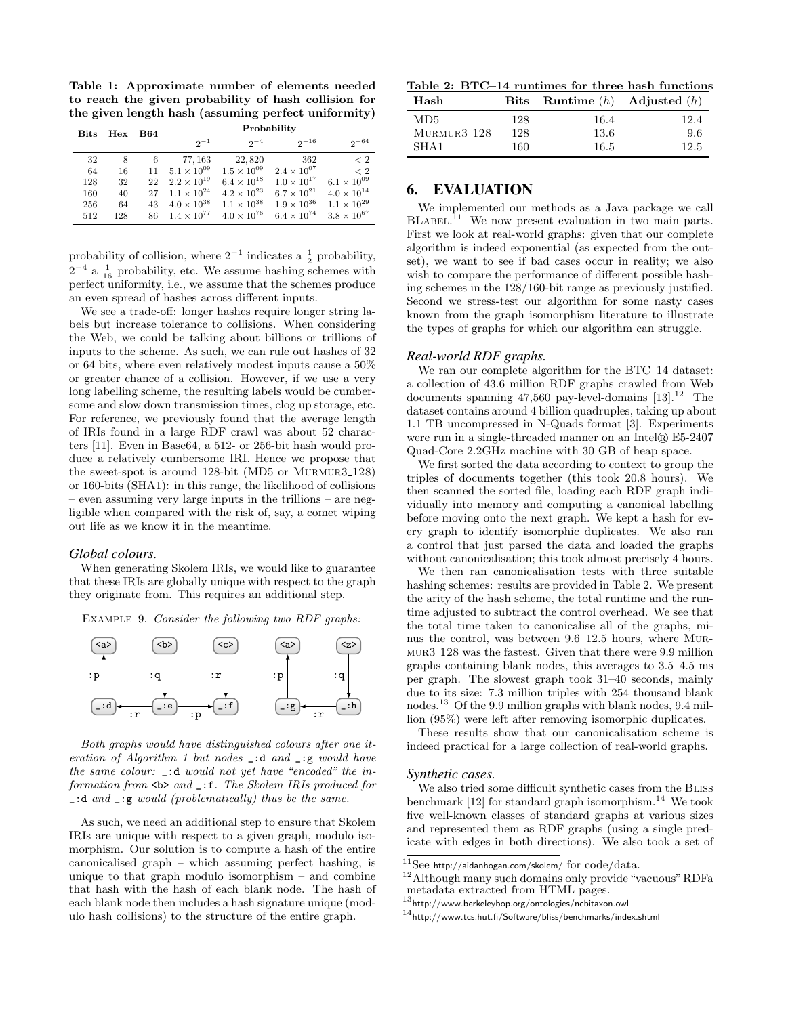<span id="page-8-0"></span>Table 1: Approximate number of elements needed to reach the given probability of hash collision for the given length hash (assuming perfect uniformity)

| <b>Bits</b> | Hex | <b>B64</b> | Probability          |                      |                      |                      |  |  |
|-------------|-----|------------|----------------------|----------------------|----------------------|----------------------|--|--|
|             |     |            | $2^{-1}$             | $2^{-4}$             | $2^{-16}$            | $2^{-64}$            |  |  |
| 32          | 8   | 6          | 77, 163              | 22,820               | 362                  | < 2                  |  |  |
| 64          | 16  | 11         | $5.1 \times 10^{09}$ | $1.5 \times 10^{09}$ | $2.4 \times 10^{07}$ | $\langle 2$          |  |  |
| 128         | 32  | 22         | $2.2 \times 10^{19}$ | $6.4 \times 10^{18}$ | $1.0 \times 10^{17}$ | $6.1 \times 10^{09}$ |  |  |
| 160         | 40  | 27         | $1.1 \times 10^{24}$ | $4.2 \times 10^{23}$ | $6.7 \times 10^{21}$ | $4.0 \times 10^{14}$ |  |  |
| 256         | 64  | 43         | $4.0 \times 10^{38}$ | $1.1 \times 10^{38}$ | $1.9 \times 10^{36}$ | $1.1 \times 10^{29}$ |  |  |
| 512         | 128 | 86         | $1.4 \times 10^{77}$ | $4.0 \times 10^{76}$ | $6.4 \times 10^{74}$ | $3.8 \times 10^{67}$ |  |  |

probability of collision, where  $2^{-1}$  indicates a  $\frac{1}{2}$  probability,  $2^{-4}$  a  $\frac{1}{16}$  probability, etc. We assume hashing schemes with perfect uniformity, i.e., we assume that the schemes produce an even spread of hashes across different inputs.

We see a trade-off: longer hashes require longer string labels but increase tolerance to collisions. When considering the Web, we could be talking about billions or trillions of inputs to the scheme. As such, we can rule out hashes of 32 or 64 bits, where even relatively modest inputs cause a 50% or greater chance of a collision. However, if we use a very long labelling scheme, the resulting labels would be cumbersome and slow down transmission times, clog up storage, etc. For reference, we previously found that the average length of IRIs found in a large RDF crawl was about 52 characters [\[11\]](#page-10-14). Even in Base64, a 512- or 256-bit hash would produce a relatively cumbersome IRI. Hence we propose that the sweet-spot is around 128-bit (MD5 or MURMUR3\_128) or 160-bits (SHA1): in this range, the likelihood of collisions – even assuming very large inputs in the trillions – are negligible when compared with the risk of, say, a comet wiping out life as we know it in the meantime.

#### *Global colours.*

When generating Skolem IRIs, we would like to guarantee that these IRIs are globally unique with respect to the graph they originate from. This requires an additional step.

Example 9. Consider the following two RDF graphs:



Both graphs would have distinguished colours after one iteration of Algorithm [1](#page-3-0) but nodes \_:d and \_:g would have the same colour: \_:d would not yet have "encoded" the information from  $\leq b$  and  $\leq$ : f. The Skolem IRIs produced for \_:d and \_:g would (problematically) thus be the same.

As such, we need an additional step to ensure that Skolem IRIs are unique with respect to a given graph, modulo isomorphism. Our solution is to compute a hash of the entire canonicalised graph – which assuming perfect hashing, is unique to that graph modulo isomorphism – and combine that hash with the hash of each blank node. The hash of each blank node then includes a hash signature unique (modulo hash collisions) to the structure of the entire graph.

<span id="page-8-3"></span>Table 2: BTC–14 runtimes for three hash functions

| Hash              |     | Bits Runtime $(h)$ Adjusted $(h)$ |      |
|-------------------|-----|-----------------------------------|------|
| MD5               | 128 | 16.4                              | 12.4 |
| $M$ URMUR $3-128$ | 128 | 13.6                              | 9.6  |
| SHA <sub>1</sub>  | 160 | 16.5                              | 12.5 |

## 6. EVALUATION

We implemented our methods as a Java package we call BLABEL.<sup>[11](#page-8-1)</sup> We now present evaluation in two main parts. First we look at real-world graphs: given that our complete algorithm is indeed exponential (as expected from the outset), we want to see if bad cases occur in reality; we also wish to compare the performance of different possible hashing schemes in the 128/160-bit range as previously justified. Second we stress-test our algorithm for some nasty cases known from the graph isomorphism literature to illustrate the types of graphs for which our algorithm can struggle.

## *Real-world RDF graphs.*

We ran our complete algorithm for the BTC–14 dataset: a collection of 43.6 million RDF graphs crawled from Web documents spanning  $47,560$  pay-level-domains  $[13].^{12}$  $[13].^{12}$  $[13].^{12}$  The dataset contains around 4 billion quadruples, taking up about 1.1 TB uncompressed in N-Quads format [\[3\]](#page-10-16). Experiments were run in a single-threaded manner on an Intel® E5-2407 Quad-Core 2.2GHz machine with 30 GB of heap space.

We first sorted the data according to context to group the triples of documents together (this took 20.8 hours). We then scanned the sorted file, loading each RDF graph individually into memory and computing a canonical labelling before moving onto the next graph. We kept a hash for every graph to identify isomorphic duplicates. We also ran a control that just parsed the data and loaded the graphs without canonicalisation; this took almost precisely 4 hours.

We then ran canonicalisation tests with three suitable hashing schemes: results are provided in Table [2.](#page-8-3) We present the arity of the hash scheme, the total runtime and the runtime adjusted to subtract the control overhead. We see that the total time taken to canonicalise all of the graphs, minus the control, was between 9.6–12.5 hours, where Murmur3 128 was the fastest. Given that there were 9.9 million graphs containing blank nodes, this averages to 3.5–4.5 ms per graph. The slowest graph took 31–40 seconds, mainly due to its size: 7.3 million triples with 254 thousand blank nodes.[13](#page-8-4) Of the 9.9 million graphs with blank nodes, 9.4 million (95%) were left after removing isomorphic duplicates.

These results show that our canonicalisation scheme is indeed practical for a large collection of real-world graphs.

#### *Synthetic cases.*

We also tried some difficult synthetic cases from the BLISS benchmark  $[12]$  for standard graph isomorphism.<sup>[14](#page-8-5)</sup> We took five well-known classes of standard graphs at various sizes and represented them as RDF graphs (using a single predicate with edges in both directions). We also took a set of

<span id="page-8-1"></span> $^{11}$ See <http://aidanhogan.com/skolem/> for  $\rm{code}/data.$ 

<span id="page-8-2"></span><sup>&</sup>lt;sup>12</sup>Although many such domains only provide "vacuous" RDFa metadata extracted from HTML pages.

<span id="page-8-4"></span> $^{13}$ <http://www.berkeleybop.org/ontologies/ncbitaxon.owl>

<span id="page-8-5"></span> $^{14}$ <http://www.tcs.hut.fi/Software/bliss/benchmarks/index.shtml>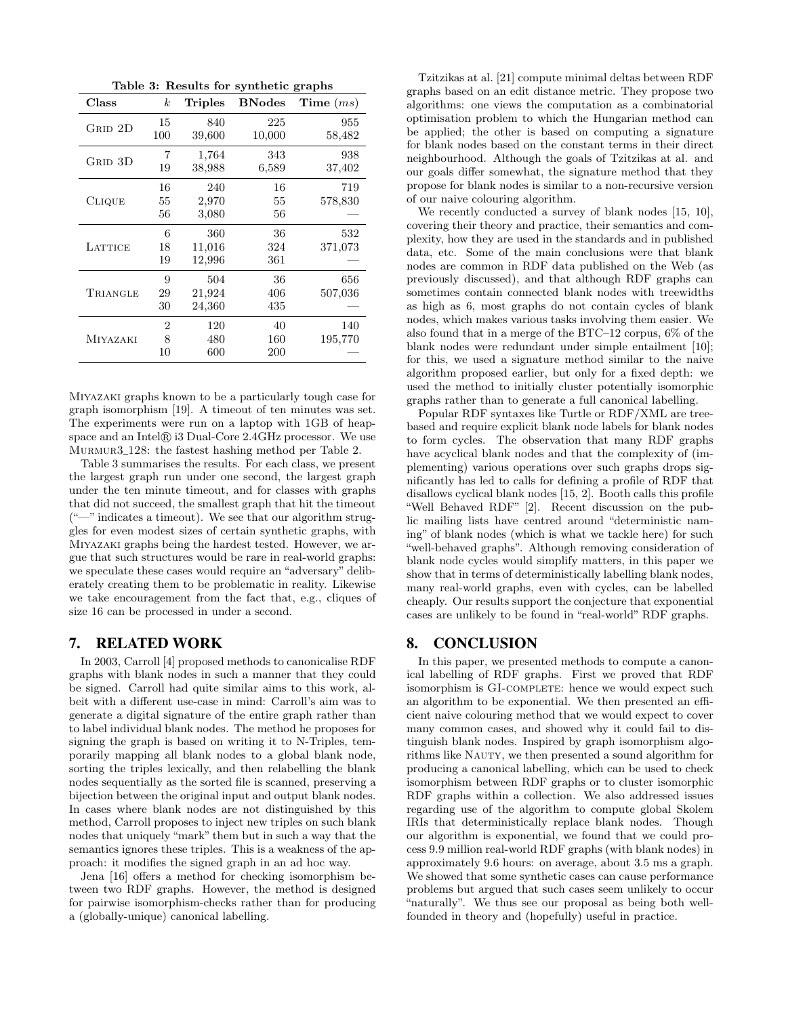<span id="page-9-0"></span>Table 3: Results for synthetic graphs

| Class           | $\boldsymbol{k}$ | <b>Triples</b> | <b>BNodes</b> | $Time \ (ms)$ |
|-----------------|------------------|----------------|---------------|---------------|
| GRID 2D         | 15               | 840            | 225           | 955           |
|                 | 100              | 39,600         | 10,000        | 58,482        |
| GRID 3D         | 7                | 1,764          | 343           | 938           |
|                 | 19               | 38,988         | 6,589         | 37,402        |
|                 | 16               | 240            | 16            | 719           |
| <b>CLIQUE</b>   | 55               | 2,970          | 55            | 578,830       |
|                 | 56               | 3,080          | 56            |               |
|                 | 6                | 360            | 36            | 532           |
| LATTICE         | 18               | 11,016         | 324           | 371,073       |
|                 | 19               | 12,996         | 361           |               |
|                 | 9                | 504            | 36            | 656           |
| TRIANGLE        | 29               | 21,924         | 406           | 507,036       |
|                 | 30               | 24,360         | 435           |               |
|                 | 2                | 120            | 40            | 140           |
| <b>MIYAZAKI</b> | 8                | 480            | 160           | 195,770       |
|                 | 10               | 600            | 200           |               |

Miyazaki graphs known to be a particularly tough case for graph isomorphism [\[19\]](#page-10-17). A timeout of ten minutes was set. The experiments were run on a laptop with 1GB of heapspace and an Intel $\mathbb R$  i3 Dual-Core 2.4GHz processor. We use Murmur3 128: the fastest hashing method per Table [2.](#page-8-3)

Table [3](#page-9-0) summarises the results. For each class, we present the largest graph run under one second, the largest graph under the ten minute timeout, and for classes with graphs that did not succeed, the smallest graph that hit the timeout  $($ "—" indicates a timeout). We see that our algorithm struggles for even modest sizes of certain synthetic graphs, with Miyazaki graphs being the hardest tested. However, we argue that such structures would be rare in real-world graphs: we speculate these cases would require an "adversary" deliberately creating them to be problematic in reality. Likewise we take encouragement from the fact that, e.g., cliques of size 16 can be processed in under a second.

## 7. RELATED WORK

In 2003, Carroll [\[4\]](#page-10-8) proposed methods to canonicalise RDF graphs with blank nodes in such a manner that they could be signed. Carroll had quite similar aims to this work, albeit with a different use-case in mind: Carroll's aim was to generate a digital signature of the entire graph rather than to label individual blank nodes. The method he proposes for signing the graph is based on writing it to N-Triples, temporarily mapping all blank nodes to a global blank node, sorting the triples lexically, and then relabelling the blank nodes sequentially as the sorted file is scanned, preserving a bijection between the original input and output blank nodes. In cases where blank nodes are not distinguished by this method, Carroll proposes to inject new triples on such blank nodes that uniquely "mark" them but in such a way that the semantics ignores these triples. This is a weakness of the approach: it modifies the signed graph in an ad hoc way.

Jena [\[16\]](#page-10-18) offers a method for checking isomorphism between two RDF graphs. However, the method is designed for pairwise isomorphism-checks rather than for producing a (globally-unique) canonical labelling.

Tzitzikas at al. [\[21\]](#page-10-5) compute minimal deltas between RDF graphs based on an edit distance metric. They propose two algorithms: one views the computation as a combinatorial optimisation problem to which the Hungarian method can be applied; the other is based on computing a signature for blank nodes based on the constant terms in their direct neighbourhood. Although the goals of Tzitzikas at al. and our goals differ somewhat, the signature method that they propose for blank nodes is similar to a non-recursive version of our naive colouring algorithm.

We recently conducted a survey of blank nodes [\[15,](#page-10-19) [10\]](#page-10-0), covering their theory and practice, their semantics and complexity, how they are used in the standards and in published data, etc. Some of the main conclusions were that blank nodes are common in RDF data published on the Web (as previously discussed), and that although RDF graphs can sometimes contain connected blank nodes with treewidths as high as 6, most graphs do not contain cycles of blank nodes, which makes various tasks involving them easier. We also found that in a merge of the BTC–12 corpus, 6% of the blank nodes were redundant under simple entailment [\[10\]](#page-10-0); for this, we used a signature method similar to the naive algorithm proposed earlier, but only for a fixed depth: we used the method to initially cluster potentially isomorphic graphs rather than to generate a full canonical labelling.

Popular RDF syntaxes like Turtle or RDF/XML are treebased and require explicit blank node labels for blank nodes to form cycles. The observation that many RDF graphs have acyclical blank nodes and that the complexity of (implementing) various operations over such graphs drops significantly has led to calls for defining a profile of RDF that disallows cyclical blank nodes [\[15,](#page-10-19) [2\]](#page-10-20). Booth calls this profile "Well Behaved RDF" [\[2\]](#page-10-20). Recent discussion on the public mailing lists have centred around "deterministic naming" of blank nodes (which is what we tackle here) for such "well-behaved graphs". Although removing consideration of blank node cycles would simplify matters, in this paper we show that in terms of deterministically labelling blank nodes, many real-world graphs, even with cycles, can be labelled cheaply. Our results support the conjecture that exponential cases are unlikely to be found in "real-world" RDF graphs.

# 8. CONCLUSION

In this paper, we presented methods to compute a canonical labelling of RDF graphs. First we proved that RDF isomorphism is GI-COMPLETE: hence we would expect such an algorithm to be exponential. We then presented an efficient naive colouring method that we would expect to cover many common cases, and showed why it could fail to distinguish blank nodes. Inspired by graph isomorphism algorithms like NAUTY, we then presented a sound algorithm for producing a canonical labelling, which can be used to check isomorphism between RDF graphs or to cluster isomorphic RDF graphs within a collection. We also addressed issues regarding use of the algorithm to compute global Skolem IRIs that deterministically replace blank nodes. Though our algorithm is exponential, we found that we could process 9.9 million real-world RDF graphs (with blank nodes) in approximately 9.6 hours: on average, about 3.5 ms a graph. We showed that some synthetic cases can cause performance problems but argued that such cases seem unlikely to occur "naturally". We thus see our proposal as being both wellfounded in theory and (hopefully) useful in practice.